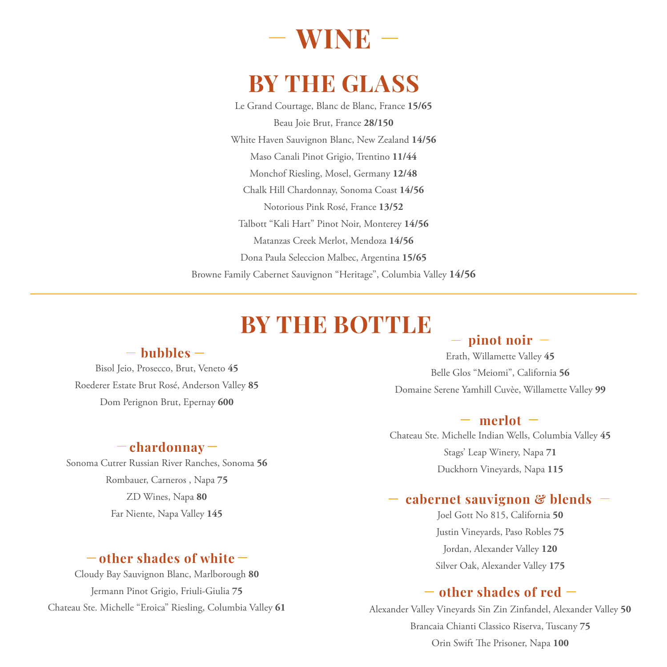# **WINE**

## **BY THE GLASS**

Le Grand Courtage, Blanc de Blanc, France **15/65** Beau Joie Brut, France **28/150** White Haven Sauvignon Blanc, New Zealand **14/56** Maso Canali Pinot Grigio, Trentino **11/44** Monchof Riesling, Mosel, Germany **12/48** Chalk Hill Chardonnay, Sonoma Coast **14/56** Notorious Pink Rosé, France **13/52** Talbott "Kali Hart" Pinot Noir, Monterey **14/56** Matanzas Creek Merlot, Mendoza **14/56** Dona Paula Seleccion Malbec, Argentina **15/65** Browne Family Cabernet Sauvignon "Heritage", Columbia Valley **14/56**

## **BY THE BOTTLE**

#### **bubbles**

Bisol Jeio, Prosecco, Brut, Veneto **45** Roederer Estate Brut Rosé, Anderson Valley **85** Dom Perignon Brut, Epernay **600**

#### **chardonnay**

Sonoma Cutrer Russian River Ranches, Sonoma **56** Rombauer, Carneros , Napa **75** ZD Wines, Napa **80** Far Niente, Napa Valley **145**

### **other shades of white**

Cloudy Bay Sauvignon Blanc, Marlborough **80** Jermann Pinot Grigio, Friuli-Giulia **75** Chateau Ste. Michelle "Eroica" Riesling, Columbia Valley **61**

#### $-$  pinot noir  $-$

Erath, Willamette Valley **45** Belle Glos "Meiomi", California **56** Domaine Serene Yamhill Cuvèe, Willamette Valley **99**

#### $-$  merlot  $-$

Chateau Ste. Michelle Indian Wells, Columbia Valley **45** Stags' Leap Winery, Napa **71** Duckhorn Vineyards, Napa **115**

#### **cabernet sauvignon & blends**

Joel Gott No 815, California **50** Justin Vineyards, Paso Robles **75** Jordan, Alexander Valley **120** Silver Oak, Alexander Valley **175**

### **other shades of red**

Alexander Valley Vineyards Sin Zin Zinfandel, Alexander Valley **50** Brancaia Chianti Classico Riserva, Tuscany **75** Orin Swift The Prisoner, Napa **100**